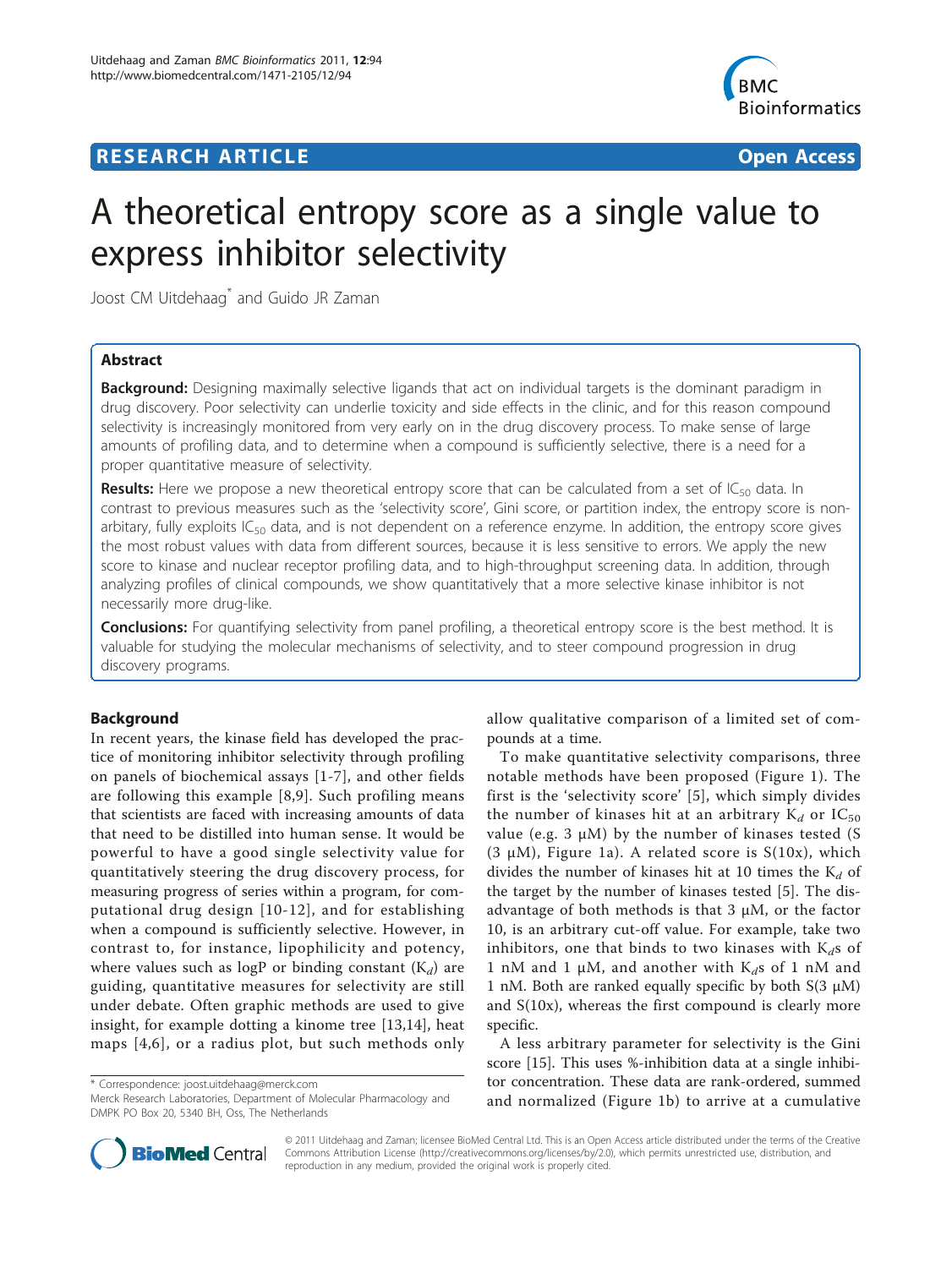## **RESEARCH ARTICLE Example 2014 CONSUMING ACCESS**



# A theoretical entropy score as a single value to express inhibitor selectivity

Joost CM Uitdehaag\* and Guido JR Zaman

## Abstract

Background: Designing maximally selective ligands that act on individual targets is the dominant paradigm in drug discovery. Poor selectivity can underlie toxicity and side effects in the clinic, and for this reason compound selectivity is increasingly monitored from very early on in the drug discovery process. To make sense of large amounts of profiling data, and to determine when a compound is sufficiently selective, there is a need for a proper quantitative measure of selectivity.

**Results:** Here we propose a new theoretical entropy score that can be calculated from a set of  $IC_{50}$  data. In contrast to previous measures such as the 'selectivity score', Gini score, or partition index, the entropy score is nonarbitary, fully exploits  $IC_{50}$  data, and is not dependent on a reference enzyme. In addition, the entropy score gives the most robust values with data from different sources, because it is less sensitive to errors. We apply the new score to kinase and nuclear receptor profiling data, and to high-throughput screening data. In addition, through analyzing profiles of clinical compounds, we show quantitatively that a more selective kinase inhibitor is not necessarily more drug-like.

**Conclusions:** For quantifying selectivity from panel profiling, a theoretical entropy score is the best method. It is valuable for studying the molecular mechanisms of selectivity, and to steer compound progression in drug discovery programs.

## Background

In recent years, the kinase field has developed the practice of monitoring inhibitor selectivity through profiling on panels of biochemical assays [[1](#page-9-0)-[7](#page-9-0)], and other fields are following this example [[8,9](#page-9-0)]. Such profiling means that scientists are faced with increasing amounts of data that need to be distilled into human sense. It would be powerful to have a good single selectivity value for quantitatively steering the drug discovery process, for measuring progress of series within a program, for computational drug design [[10-12\]](#page-9-0), and for establishing when a compound is sufficiently selective. However, in contrast to, for instance, lipophilicity and potency, where values such as logP or binding constant  $(K_d)$  are guiding, quantitative measures for selectivity are still under debate. Often graphic methods are used to give insight, for example dotting a kinome tree [[13,14](#page-9-0)], heat maps [[4,6](#page-9-0)], or a radius plot, but such methods only

\* Correspondence: [joost.uitdehaag@merck.com](mailto:joost.uitdehaag@merck.com)

Merck Research Laboratories, Department of Molecular Pharmacology and DMPK PO Box 20, 5340 BH, Oss, The Netherlands

allow qualitative comparison of a limited set of compounds at a time.

To make quantitative selectivity comparisons, three notable methods have been proposed (Figure [1](#page-1-0)). The first is the 'selectivity score' [\[5\]](#page-9-0), which simply divides the number of kinases hit at an arbitrary  $K_d$  or  $IC_{50}$ value (e.g. 3 μM) by the number of kinases tested (S (3  $\mu$ M), Figure [1a](#page-1-0)). A related score is S(10x), which divides the number of kinases hit at 10 times the  $K_d$  of the target by the number of kinases tested [[5\]](#page-9-0). The disadvantage of both methods is that  $3 \mu M$ , or the factor 10, is an arbitrary cut-off value. For example, take two inhibitors, one that binds to two kinases with  $K_d$ s of 1 nM and 1  $\mu$ M, and another with K<sub>d</sub>s of 1 nM and 1 nM. Both are ranked equally specific by both  $S(3 \mu M)$ and S(10x), whereas the first compound is clearly more specific.

A less arbitrary parameter for selectivity is the Gini score [\[15](#page-9-0)]. This uses %-inhibition data at a single inhibitor concentration. These data are rank-ordered, summed and normalized (Figure [1b](#page-1-0)) to arrive at a cumulative



© 2011 Uitdehaag and Zaman; licensee BioMed Central Ltd. This is an Open Access article distributed under the terms of the Creative Commons Attribution License [\(http://creativecommons.org/licenses/by/2.0](http://creativecommons.org/licenses/by/2.0)), which permits unrestricted use, distribution, and reproduction in any medium, provided the original work is properly cited.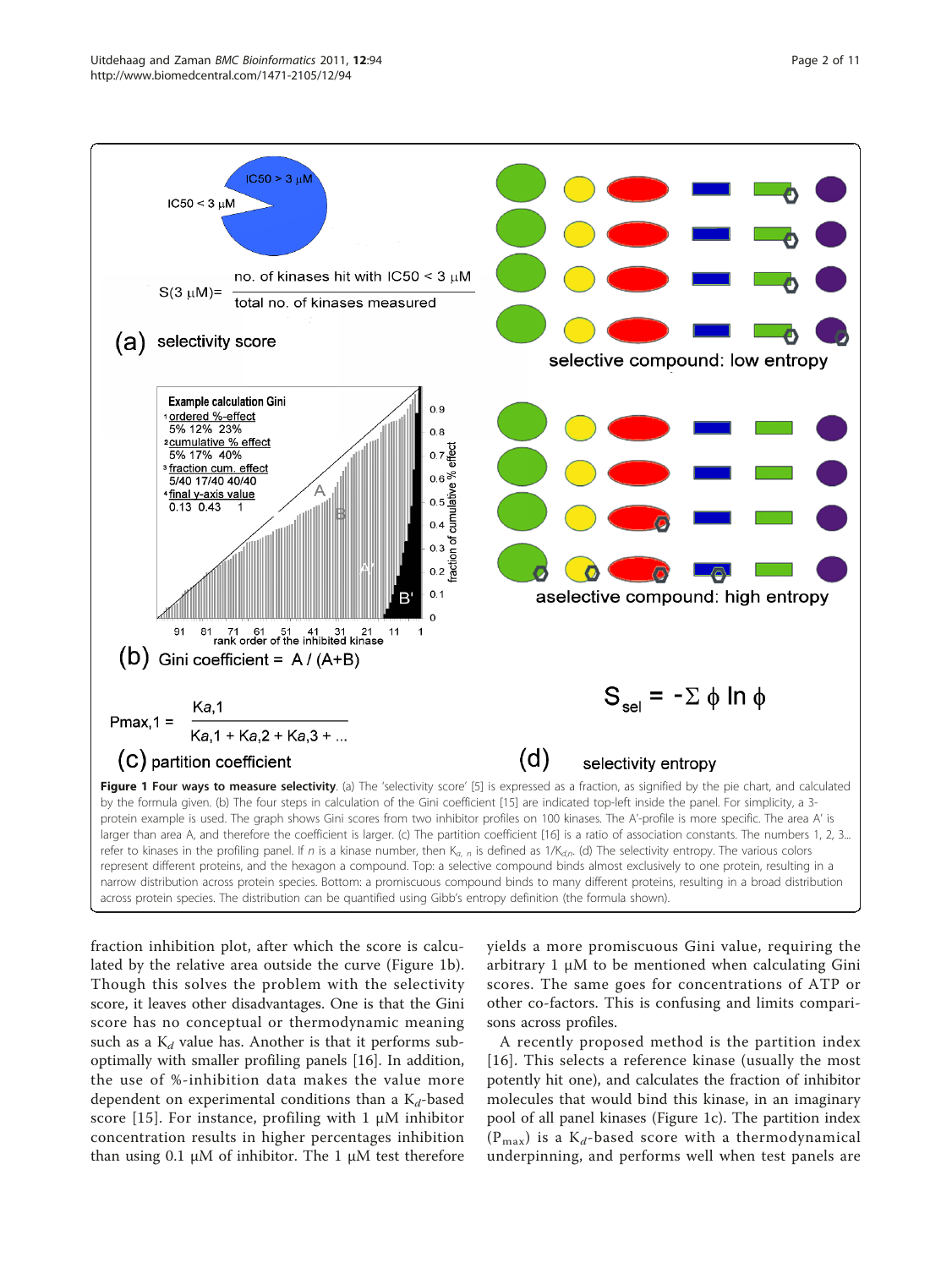<span id="page-1-0"></span>

refer to kinases in the profiling panel. If n is a kinase number, then  $K_{a, n}$  is defined as 1/K<sub>d,n</sub>. (d) The selectivity entropy. The various colors represent different proteins, and the hexagon a compound. Top: a selective compound binds almost exclusively to one protein, resulting in a narrow distribution across protein species. Bottom: a promiscuous compound binds to many different proteins, resulting in a broad distribution across protein species. The distribution can be quantified using Gibb's entropy definition (the formula shown).

fraction inhibition plot, after which the score is calculated by the relative area outside the curve (Figure 1b). Though this solves the problem with the selectivity score, it leaves other disadvantages. One is that the Gini score has no conceptual or thermodynamic meaning such as a  $K_d$  value has. Another is that it performs suboptimally with smaller profiling panels [[16\]](#page-9-0). In addition, the use of %-inhibition data makes the value more dependent on experimental conditions than a  $K_d$ -based score [[15](#page-9-0)]. For instance, profiling with 1  $\mu$ M inhibitor concentration results in higher percentages inhibition than using 0.1 μM of inhibitor. The 1 μM test therefore yields a more promiscuous Gini value, requiring the arbitrary 1 μM to be mentioned when calculating Gini scores. The same goes for concentrations of ATP or other co-factors. This is confusing and limits comparisons across profiles.

A recently proposed method is the partition index [[16](#page-9-0)]. This selects a reference kinase (usually the most potently hit one), and calculates the fraction of inhibitor molecules that would bind this kinase, in an imaginary pool of all panel kinases (Figure 1c). The partition index  $(P_{\text{max}})$  is a K<sub>d</sub>-based score with a thermodynamical underpinning, and performs well when test panels are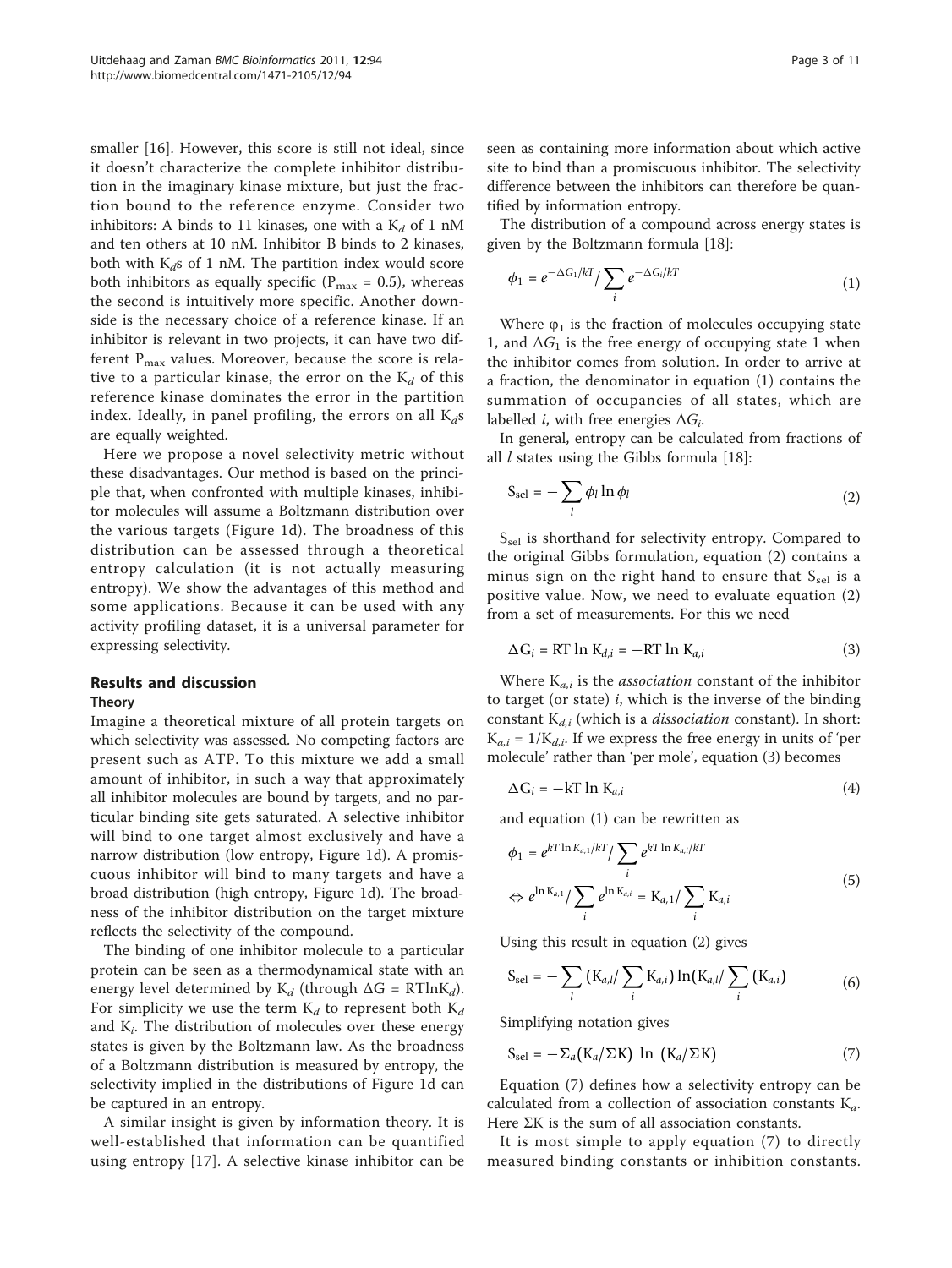smaller [\[16](#page-9-0)]. However, this score is still not ideal, since it doesn't characterize the complete inhibitor distribution in the imaginary kinase mixture, but just the fraction bound to the reference enzyme. Consider two inhibitors: A binds to 11 kinases, one with a  $K_d$  of 1 nM and ten others at 10 nM. Inhibitor B binds to 2 kinases, both with  $K_d$ s of 1 nM. The partition index would score both inhibitors as equally specific ( $P_{\text{max}} = 0.5$ ), whereas the second is intuitively more specific. Another downside is the necessary choice of a reference kinase. If an inhibitor is relevant in two projects, it can have two different  $P_{\text{max}}$  values. Moreover, because the score is relative to a particular kinase, the error on the  $K_d$  of this reference kinase dominates the error in the partition index. Ideally, in panel profiling, the errors on all  $K_d s$ are equally weighted.

Here we propose a novel selectivity metric without these disadvantages. Our method is based on the principle that, when confronted with multiple kinases, inhibitor molecules will assume a Boltzmann distribution over the various targets (Figure [1d](#page-1-0)). The broadness of this distribution can be assessed through a theoretical entropy calculation (it is not actually measuring entropy). We show the advantages of this method and some applications. Because it can be used with any activity profiling dataset, it is a universal parameter for expressing selectivity.

#### Results and discussion

#### Theory

Imagine a theoretical mixture of all protein targets on which selectivity was assessed. No competing factors are present such as ATP. To this mixture we add a small amount of inhibitor, in such a way that approximately all inhibitor molecules are bound by targets, and no particular binding site gets saturated. A selective inhibitor will bind to one target almost exclusively and have a narrow distribution (low entropy, Figure [1d](#page-1-0)). A promiscuous inhibitor will bind to many targets and have a broad distribution (high entropy, Figure [1d](#page-1-0)). The broadness of the inhibitor distribution on the target mixture reflects the selectivity of the compound.

The binding of one inhibitor molecule to a particular protein can be seen as a thermodynamical state with an energy level determined by  $K_d$  (through  $\Delta G = RT \ln K_d$ ). For simplicity we use the term  $K_d$  to represent both  $K_d$ and  $K_i$ . The distribution of molecules over these energy states is given by the Boltzmann law. As the broadness of a Boltzmann distribution is measured by entropy, the selectivity implied in the distributions of Figure [1d](#page-1-0) can be captured in an entropy.

A similar insight is given by information theory. It is well-established that information can be quantified using entropy [\[17\]](#page-9-0). A selective kinase inhibitor can be

seen as containing more information about which active site to bind than a promiscuous inhibitor. The selectivity difference between the inhibitors can therefore be quantified by information entropy.

The distribution of a compound across energy states is given by the Boltzmann formula [[18\]](#page-9-0):

$$
\phi_1 = e^{-\Delta G_1/kT} / \sum_i e^{-\Delta G_i/kT}
$$
 (1)

Where  $\varphi_1$  is the fraction of molecules occupying state 1, and  $\Delta G_1$  is the free energy of occupying state 1 when the inhibitor comes from solution. In order to arrive at a fraction, the denominator in equation (1) contains the summation of occupancies of all states, which are labelled *i*, with free energies  $\Delta G_i$ .

In general, entropy can be calculated from fractions of all  $l$  states using the Gibbs formula [[18](#page-9-0)]:

$$
S_{\text{sel}} = -\sum_{l} \phi_l \ln \phi_l \tag{2}
$$

S<sub>sel</sub> is shorthand for selectivity entropy. Compared to the original Gibbs formulation, equation (2) contains a minus sign on the right hand to ensure that  $S_{sel}$  is a positive value. Now, we need to evaluate equation (2) from a set of measurements. For this we need

$$
\Delta G_i = RT \ln K_{d,i} = -RT \ln K_{a,i} \tag{3}
$$

Where  $K_{a,i}$  is the *association* constant of the inhibitor to target (or state)  $i$ , which is the inverse of the binding constant  $K_{d,i}$  (which is a *dissociation* constant). In short:  $K_{a,i} = 1/K_{d,i}$ . If we express the free energy in units of 'per molecule' rather than 'per mole', equation (3) becomes

$$
\Delta G_i = -kT \ln K_{a,i} \tag{4}
$$

and equation (1) can be rewritten as

$$
\phi_1 = e^{kT \ln K_{a,1}/kT} / \sum_i e^{kT \ln K_{a,i}/kT}
$$
\n
$$
\Leftrightarrow e^{\ln K_{a,1}} / \sum_i e^{\ln K_{a,i}} = K_{a,1} / \sum_i K_{a,i}
$$
\n(5)

Using this result in equation (2) gives

$$
S_{sel} = -\sum_{l} (K_{a,l} / \sum_{i} K_{a,i}) \ln(K_{a,l} / \sum_{i} (K_{a,i})
$$
 (6)

Simplifying notation gives

$$
S_{sel} = -\Sigma_a (K_a / \Sigma K) \ln (K_a / \Sigma K)
$$
 (7)

Equation (7) defines how a selectivity entropy can be calculated from a collection of association constants  $K_a$ . Here ΣK is the sum of all association constants.

It is most simple to apply equation (7) to directly measured binding constants or inhibition constants.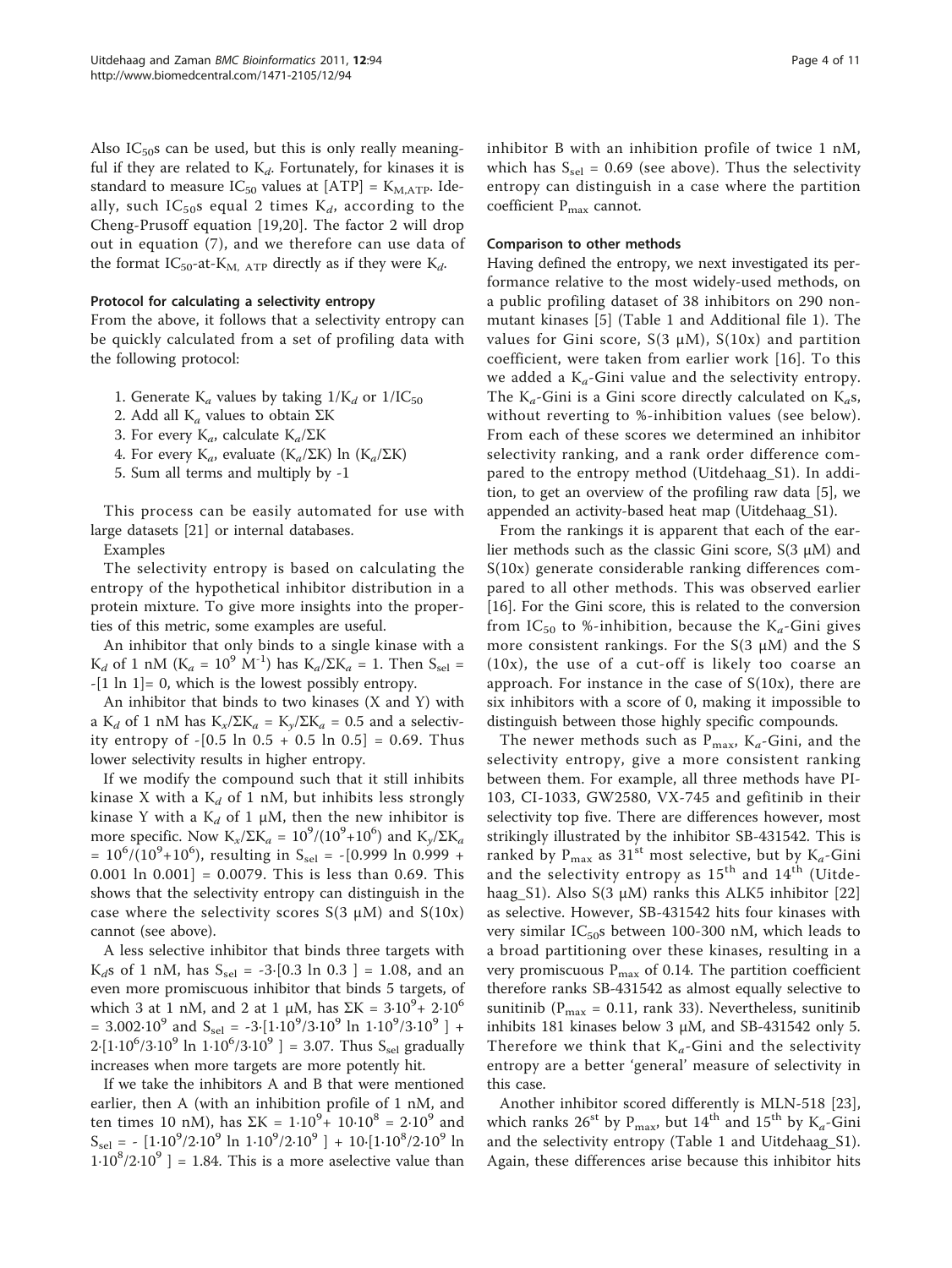Also  $IC_{50}$ s can be used, but this is only really meaningful if they are related to  $K_d$ . Fortunately, for kinases it is standard to measure  $IC_{50}$  values at  $[ATP] = K_{M,ATP}$ . Ideally, such IC<sub>50</sub>s equal 2 times  $K_d$ , according to the Cheng-Prusoff equation [\[19,20\]](#page-9-0). The factor 2 will drop out in equation (7), and we therefore can use data of the format IC<sub>50</sub>-at-K<sub>M, ATP</sub> directly as if they were K<sub>d</sub>.

#### Protocol for calculating a selectivity entropy

From the above, it follows that a selectivity entropy can be quickly calculated from a set of profiling data with the following protocol:

- 1. Generate  $K_a$  values by taking  $1/K_d$  or  $1/IC_{50}$
- 2. Add all  $K_a$  values to obtain ΣK
- 3. For every K<sub>a</sub>, calculate K<sub>a</sub>/ΣK
- 4. For every K<sub>a</sub>, evaluate (K<sub>a</sub>/ΣK) ln (K<sub>a</sub>/ΣK)
- 5. Sum all terms and multiply by -1

This process can be easily automated for use with large datasets [\[21\]](#page-9-0) or internal databases.

Examples

The selectivity entropy is based on calculating the entropy of the hypothetical inhibitor distribution in a protein mixture. To give more insights into the properties of this metric, some examples are useful.

An inhibitor that only binds to a single kinase with a K<sub>d</sub> of 1 nM (K<sub>a</sub> = 10<sup>9</sup> M<sup>-1</sup>) has K<sub>a</sub>/ΣK<sub>a</sub> = 1. Then S<sub>sel</sub> =  $-[1 \ln 1] = 0$ , which is the lowest possibly entropy.

An inhibitor that binds to two kinases (X and Y) with a K<sub>d</sub> of 1 nM has K<sub>x</sub>/ΣK<sub>a</sub> = K<sub>y</sub>/ΣK<sub>a</sub> = 0.5 and a selectivity entropy of  $-[0.5 \ln 0.5 + 0.5 \ln 0.5] = 0.69$ . Thus lower selectivity results in higher entropy.

If we modify the compound such that it still inhibits kinase X with a  $K_d$  of 1 nM, but inhibits less strongly kinase Y with a  $K_d$  of 1  $\mu$ M, then the new inhibitor is more specific. Now  $K_x/\Sigma K_a = 10^9/(10^9+10^6)$  and  $K_y/\Sigma K_a$  $= 10^6/(10^9+10^6)$ , resulting in S<sub>sel</sub> = -[0.999 ln 0.999 + 0.001 ln  $0.001$ ] = 0.0079. This is less than 0.69. This shows that the selectivity entropy can distinguish in the case where the selectivity scores  $S(3 \mu M)$  and  $S(10x)$ cannot (see above).

A less selective inhibitor that binds three targets with  $K_d$ s of 1 nM, has  $S_{\text{sel}} = -3$ ·[0.3 ln 0.3 ] = 1.08, and an even more promiscuous inhibitor that binds 5 targets, of which 3 at 1 nM, and 2 at 1 μM, has  $\Sigma K = 3.10^9 + 2.10^6$ = 3.002 $\cdot 10^9$  and S<sub>sel</sub> =  $-3\cdot [1 \cdot 10^9 / 3 \cdot 10^9 \ln 1 \cdot 10^9 / 3 \cdot 10^9]$  +  $2 \cdot [1 \cdot 10^6 / 3 \cdot 10^9 \ln 1 \cdot 10^6 / 3 \cdot 10^9] = 3.07$ . Thus S<sub>sel</sub> gradually increases when more targets are more potently hit.

If we take the inhibitors A and B that were mentioned earlier, then A (with an inhibition profile of 1 nM, and ten times 10 nM), has  $\Sigma K = 1.10^{9} + 10.10^{8} = 2.10^{9}$  and  $S_{\text{sel}} = -[1.10^9/2.10^9 \ln 1.10^9/2.10^9] + 10.110^8/2.10^9 \ln 1.10^9$  $1.10^8/2.10^9$  ] = 1.84. This is a more aselective value than

inhibitor B with an inhibition profile of twice 1 nM, which has  $S_{\text{sel}} = 0.69$  (see above). Thus the selectivity entropy can distinguish in a case where the partition coefficient  $P_{max}$  cannot.

#### Comparison to other methods

Having defined the entropy, we next investigated its performance relative to the most widely-used methods, on a public profiling dataset of 38 inhibitors on 290 nonmutant kinases [[5](#page-9-0)] (Table [1](#page-4-0) and Additional file [1](#page-9-0)). The values for Gini score,  $S(3 \mu M)$ ,  $S(10x)$  and partition coefficient, were taken from earlier work [[16](#page-9-0)]. To this we added a  $K_a$ -Gini value and the selectivity entropy. The K<sub>a</sub>-Gini is a Gini score directly calculated on K<sub>a</sub>s, without reverting to %-inhibition values (see below). From each of these scores we determined an inhibitor selectivity ranking, and a rank order difference compared to the entropy method (Uitdehaag\_S1). In addition, to get an overview of the profiling raw data [[5\]](#page-9-0), we appended an activity-based heat map (Uitdehaag\_S1).

From the rankings it is apparent that each of the earlier methods such as the classic Gini score,  $S(3 \mu M)$  and S(10x) generate considerable ranking differences compared to all other methods. This was observed earlier [[16\]](#page-9-0). For the Gini score, this is related to the conversion from IC<sub>50</sub> to %-inhibition, because the K<sub>a</sub>-Gini gives more consistent rankings. For the  $S(3 \mu M)$  and the S (10x), the use of a cut-off is likely too coarse an approach. For instance in the case of  $S(10x)$ , there are six inhibitors with a score of 0, making it impossible to distinguish between those highly specific compounds.

The newer methods such as  $P_{\text{max}}$ ,  $K_a$ -Gini, and the selectivity entropy, give a more consistent ranking between them. For example, all three methods have PI-103, CI-1033, GW2580, VX-745 and gefitinib in their selectivity top five. There are differences however, most strikingly illustrated by the inhibitor SB-431542. This is ranked by  $P_{\text{max}}$  as 31<sup>st</sup> most selective, but by  $K_a$ -Gini and the selectivity entropy as  $15^{\text{th}}$  and  $14^{\text{th}}$  (Uitdehaag\_S1). Also S(3  $\mu$ M) ranks this ALK5 inhibitor [\[22](#page-9-0)] as selective. However, SB-431542 hits four kinases with very similar  $IC_{50}$ s between 100-300 nM, which leads to a broad partitioning over these kinases, resulting in a very promiscuous  $P_{\text{max}}$  of 0.14. The partition coefficient therefore ranks SB-431542 as almost equally selective to sunitinib ( $P_{\text{max}} = 0.11$ , rank 33). Nevertheless, sunitinib inhibits 181 kinases below 3  $\mu$ M, and SB-431542 only 5. Therefore we think that  $K_a$ -Gini and the selectivity entropy are a better 'general' measure of selectivity in this case.

Another inhibitor scored differently is MLN-518 [\[23](#page-9-0)], which ranks  $26^{\text{st}}$  by P<sub>max</sub>, but  $14^{\text{th}}$  and  $15^{\text{th}}$  by K<sub>a</sub>-Gini and the selectivity entropy (Table [1](#page-4-0) and Uitdehaag\_S1). Again, these differences arise because this inhibitor hits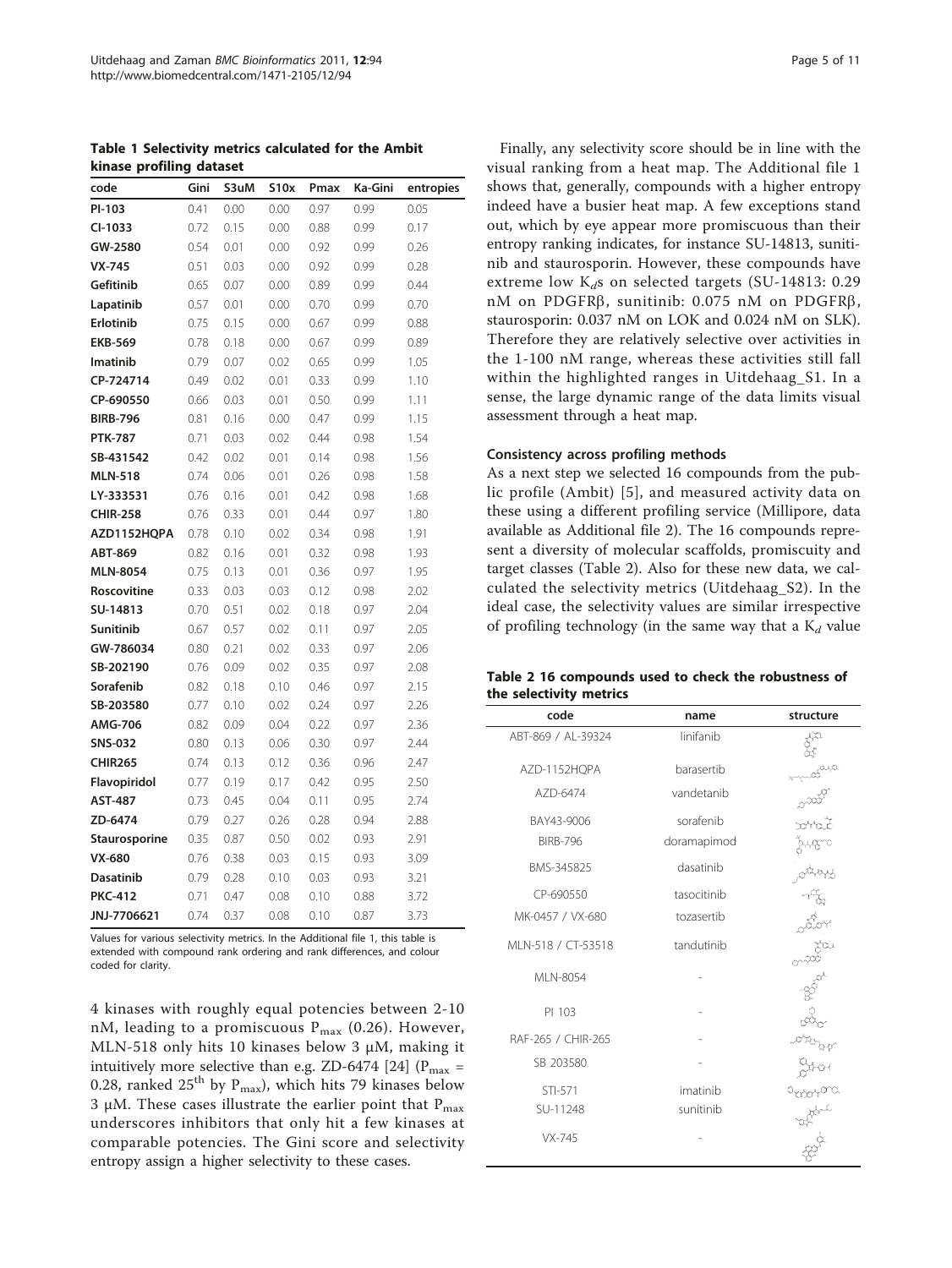<span id="page-4-0"></span>Table 1 Selectivity metrics calculated for the Ambit kinase profiling dataset

| code             | Gini | S3uM | S10x | Pmax | Ka-Gini | entropies |
|------------------|------|------|------|------|---------|-----------|
| PI-103           | 0.41 | 0.00 | 0.00 | 0.97 | 0.99    | 0.05      |
| CI-1033          | 0.72 | 0.15 | 0.00 | 0.88 | 0.99    | 0.17      |
| GW-2580          | 0.54 | 0.01 | 0.00 | 0.92 | 0.99    | 0.26      |
| $VX-745$         | 0.51 | 0.03 | 0.00 | 0.92 | 0.99    | 0.28      |
| Gefitinib        | 0.65 | 0.07 | 0.00 | 0.89 | 0.99    | 0.44      |
| Lapatinib        | 0.57 | 0.01 | 0.00 | 0.70 | 0.99    | 0.70      |
| Erlotinib        | 0.75 | 0.15 | 0.00 | 0.67 | 0.99    | 0.88      |
| <b>EKB-569</b>   | 0.78 | 0.18 | 0.00 | 0.67 | 0.99    | 0.89      |
| <b>Imatinib</b>  | 0.79 | 0.07 | 0.02 | 0.65 | 0.99    | 1.05      |
| CP-724714        | 0.49 | 0.02 | 0.01 | 0.33 | 0.99    | 1.10      |
| CP-690550        | 0.66 | 0.03 | 0.01 | 0.50 | 0.99    | 1.11      |
| <b>BIRB-796</b>  | 0.81 | 0.16 | 0.00 | 0.47 | 0.99    | 1.15      |
| <b>PTK-787</b>   | 0.71 | 0.03 | 0.02 | 0.44 | 0.98    | 1.54      |
| SB-431542        | 0.42 | 0.02 | 0.01 | 0.14 | 0.98    | 1.56      |
| <b>MLN-518</b>   | 0.74 | 0.06 | 0.01 | 0.26 | 0.98    | 1.58      |
| LY-333531        | 0.76 | 0.16 | 0.01 | 0.42 | 0.98    | 1.68      |
| <b>CHIR-258</b>  | 0.76 | 0.33 | 0.01 | 0.44 | 0.97    | 1.80      |
| AZD1152HQPA      | 0.78 | 0.10 | 0.02 | 0.34 | 0.98    | 1.91      |
| ABT-869          | 0.82 | 0.16 | 0.01 | 0.32 | 0.98    | 1.93      |
| <b>MLN-8054</b>  | 0.75 | 0.13 | 0.01 | 0.36 | 0.97    | 1.95      |
| Roscovitine      | 0.33 | 0.03 | 0.03 | 0.12 | 0.98    | 2.02      |
| SU-14813         | 0.70 | 0.51 | 0.02 | 0.18 | 0.97    | 2.04      |
| Sunitinib        | 0.67 | 0.57 | 0.02 | 0.11 | 0.97    | 2.05      |
| GW-786034        | 0.80 | 0.21 | 0.02 | 0.33 | 0.97    | 2.06      |
| SB-202190        | 0.76 | 0.09 | 0.02 | 0.35 | 0.97    | 2.08      |
| Sorafenib        | 0.82 | 0.18 | 0.10 | 0.46 | 0.97    | 2.15      |
| SB-203580        | 0.77 | 0.10 | 0.02 | 0.24 | 0.97    | 2.26      |
| AMG-706          | 0.82 | 0.09 | 0.04 | 0.22 | 0.97    | 2.36      |
| SNS-032          | 0.80 | 0.13 | 0.06 | 0.30 | 0.97    | 2.44      |
| <b>CHIR265</b>   | 0.74 | 0.13 | 0.12 | 0.36 | 0.96    | 2.47      |
| Flavopiridol     | 0.77 | 0.19 | 0.17 | 0.42 | 0.95    | 2.50      |
| <b>AST-487</b>   | 0.73 | 0.45 | 0.04 | 0.11 | 0.95    | 2.74      |
| ZD-6474          | 0.79 | 0.27 | 0.26 | 0.28 | 0.94    | 2.88      |
| Staurosporine    | 0.35 | 0.87 | 0.50 | 0.02 | 0.93    | 2.91      |
| VX-680           | 0.76 | 0.38 | 0.03 | 0.15 | 0.93    | 3.09      |
| <b>Dasatinib</b> | 0.79 | 0.28 | 0.10 | 0.03 | 0.93    | 3.21      |
| <b>PKC-412</b>   | 0.71 | 0.47 | 0.08 | 0.10 | 0.88    | 3.72      |
| JNJ-7706621      | 0.74 | 0.37 | 0.08 | 0.10 | 0.87    | 3.73      |

Values for various selectivity metrics. In the Additional file [1,](#page-9-0) this table is extended with compound rank ordering and rank differences, and colour coded for clarity.

4 kinases with roughly equal potencies between 2-10 nM, leading to a promiscuous  $P_{max}$  (0.26). However, MLN-518 only hits 10 kinases below 3 μM, making it intuitively more selective than e.g. ZD-6474 [[24](#page-9-0)] ( $P_{max}$  = 0.28, ranked  $25<sup>th</sup>$  by P<sub>max</sub>), which hits 79 kinases below 3 μM. These cases illustrate the earlier point that  $P_{\text{max}}$ underscores inhibitors that only hit a few kinases at comparable potencies. The Gini score and selectivity entropy assign a higher selectivity to these cases.

Finally, any selectivity score should be in line with the visual ranking from a heat map. The Additional file [1](#page-9-0) shows that, generally, compounds with a higher entropy indeed have a busier heat map. A few exceptions stand out, which by eye appear more promiscuous than their entropy ranking indicates, for instance SU-14813, sunitinib and staurosporin. However, these compounds have extreme low  $K_{dS}$  on selected targets (SU-14813: 0.29 nM on PDGFRb, sunitinib: 0.075 nM on PDGFRb, staurosporin: 0.037 nM on LOK and 0.024 nM on SLK). Therefore they are relatively selective over activities in the 1-100 nM range, whereas these activities still fall within the highlighted ranges in Uitdehaag\_S1. In a sense, the large dynamic range of the data limits visual assessment through a heat map.

#### Consistency across profiling methods

As a next step we selected 16 compounds from the public profile (Ambit) [[5\]](#page-9-0), and measured activity data on these using a different profiling service (Millipore, data available as Additional file [2](#page-9-0)). The 16 compounds represent a diversity of molecular scaffolds, promiscuity and target classes (Table 2). Also for these new data, we calculated the selectivity metrics (Uitdehaag\_S2). In the ideal case, the selectivity values are similar irrespective of profiling technology (in the same way that a  $K_d$  value

| Table 2 16 compounds used to check the robustness of |  |  |  |
|------------------------------------------------------|--|--|--|
| the selectivity metrics                              |  |  |  |

| code                | name        | structure |
|---------------------|-------------|-----------|
| ABT-869 / AL-39324  | linifanib   |           |
| AZD-1152HQPA        | barasertib  |           |
| A7D-6474            | vandetanib  |           |
| BAY43-9006          | sorafenib   |           |
| <b>BIRB-796</b>     | doramapimod |           |
| BMS-345825          | dasatinib   |           |
| CP-690550           | tasocitinib |           |
| MK-0457 / VX-680    | tozasertib  |           |
| MI N-518 / CT-53518 | tandutinib  |           |
| MLN-8054            |             |           |
| PI 103              |             |           |
| RAF-265 / CHIR-265  |             |           |
| SB 203580           |             |           |
| STI-571             | imatinib    |           |
| SU-11248            | sunitinib   |           |
| VX-745              |             |           |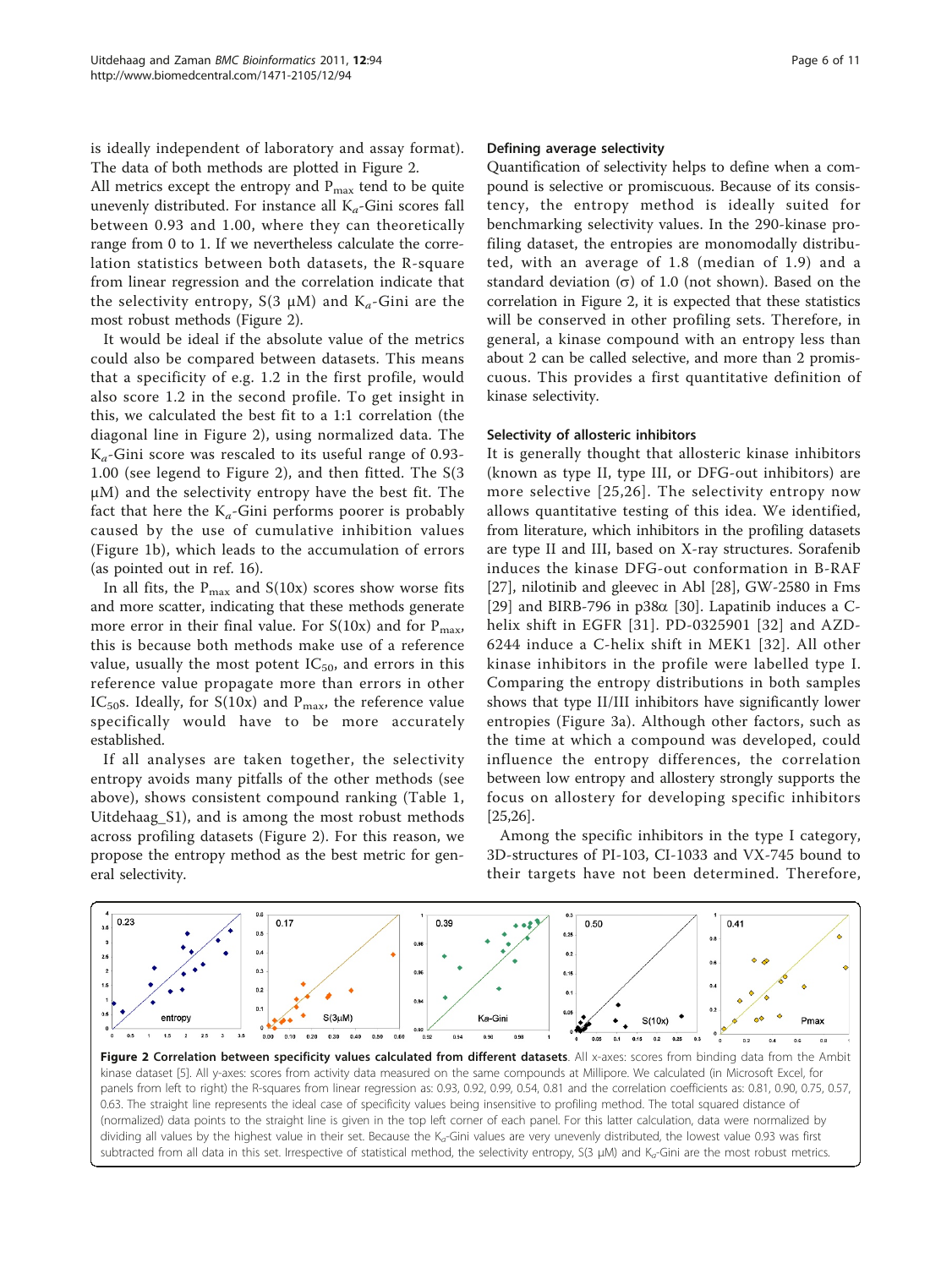<span id="page-5-0"></span>is ideally independent of laboratory and assay format). The data of both methods are plotted in Figure 2.

All metrics except the entropy and  $P_{\text{max}}$  tend to be quite unevenly distributed. For instance all  $K_a$ -Gini scores fall between 0.93 and 1.00, where they can theoretically range from 0 to 1. If we nevertheless calculate the correlation statistics between both datasets, the R-square from linear regression and the correlation indicate that the selectivity entropy,  $S(3 \mu M)$  and  $K_a$ -Gini are the most robust methods (Figure 2).

It would be ideal if the absolute value of the metrics could also be compared between datasets. This means that a specificity of e.g. 1.2 in the first profile, would also score 1.2 in the second profile. To get insight in this, we calculated the best fit to a 1:1 correlation (the diagonal line in Figure 2), using normalized data. The  $K_a$ -Gini score was rescaled to its useful range of 0.93-1.00 (see legend to Figure 2), and then fitted. The S(3 μM) and the selectivity entropy have the best fit. The fact that here the  $K_a$ -Gini performs poorer is probably caused by the use of cumulative inhibition values (Figure [1b\)](#page-1-0), which leads to the accumulation of errors (as pointed out in ref. 16).

In all fits, the  $P_{\text{max}}$  and  $S(10x)$  scores show worse fits and more scatter, indicating that these methods generate more error in their final value. For  $S(10x)$  and for  $P_{\text{max}}$ , this is because both methods make use of a reference value, usually the most potent  $IC_{50}$ , and errors in this reference value propagate more than errors in other IC<sub>50</sub>s. Ideally, for S(10x) and P<sub>max</sub>, the reference value specifically would have to be more accurately established.

If all analyses are taken together, the selectivity entropy avoids many pitfalls of the other methods (see above), shows consistent compound ranking (Table [1](#page-4-0), Uitdehaag\_S1), and is among the most robust methods across profiling datasets (Figure 2). For this reason, we propose the entropy method as the best metric for general selectivity.

#### Defining average selectivity

Quantification of selectivity helps to define when a compound is selective or promiscuous. Because of its consistency, the entropy method is ideally suited for benchmarking selectivity values. In the 290-kinase profiling dataset, the entropies are monomodally distributed, with an average of 1.8 (median of 1.9) and a standard deviation  $(\sigma)$  of 1.0 (not shown). Based on the correlation in Figure 2, it is expected that these statistics will be conserved in other profiling sets. Therefore, in general, a kinase compound with an entropy less than about 2 can be called selective, and more than 2 promiscuous. This provides a first quantitative definition of kinase selectivity.

#### Selectivity of allosteric inhibitors

It is generally thought that allosteric kinase inhibitors (known as type II, type III, or DFG-out inhibitors) are more selective [[25](#page-9-0),[26\]](#page-9-0). The selectivity entropy now allows quantitative testing of this idea. We identified, from literature, which inhibitors in the profiling datasets are type II and III, based on X-ray structures. Sorafenib induces the kinase DFG-out conformation in B-RAF [[27\]](#page-9-0), nilotinib and gleevec in Abl [[28\]](#page-9-0), GW-2580 in Fms [[29\]](#page-9-0) and BIRB-796 in  $p38\alpha$  [\[30\]](#page-9-0). Lapatinib induces a Chelix shift in EGFR [[31\]](#page-9-0). PD-0325901 [[32](#page-10-0)] and AZD-6244 induce a C-helix shift in MEK1 [[32\]](#page-10-0). All other kinase inhibitors in the profile were labelled type I. Comparing the entropy distributions in both samples shows that type II/III inhibitors have significantly lower entropies (Figure [3a](#page-6-0)). Although other factors, such as the time at which a compound was developed, could influence the entropy differences, the correlation between low entropy and allostery strongly supports the focus on allostery for developing specific inhibitors [[25,26\]](#page-9-0).

Among the specific inhibitors in the type I category, 3D-structures of PI-103, CI-1033 and VX-745 bound to their targets have not been determined. Therefore,

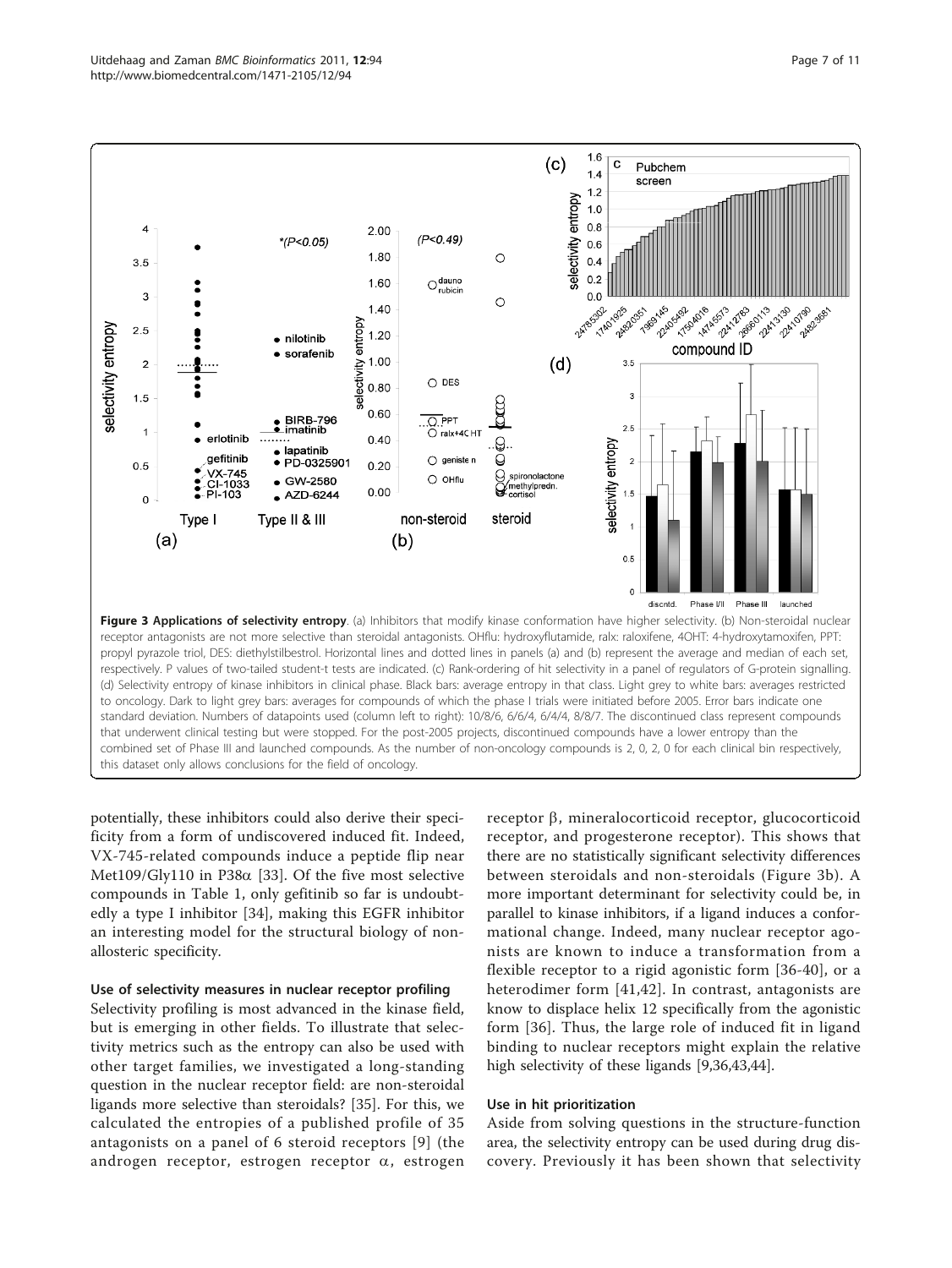<span id="page-6-0"></span>

potentially, these inhibitors could also derive their specificity from a form of undiscovered induced fit. Indeed, VX-745-related compounds induce a peptide flip near Met109/Gly110 in P38 $\alpha$  [[33\]](#page-10-0). Of the five most selective compounds in Table [1](#page-4-0), only gefitinib so far is undoubtedly a type I inhibitor [\[34](#page-10-0)], making this EGFR inhibitor an interesting model for the structural biology of nonallosteric specificity.

#### Use of selectivity measures in nuclear receptor profiling

Selectivity profiling is most advanced in the kinase field, but is emerging in other fields. To illustrate that selectivity metrics such as the entropy can also be used with other target families, we investigated a long-standing question in the nuclear receptor field: are non-steroidal ligands more selective than steroidals? [[35\]](#page-10-0). For this, we calculated the entropies of a published profile of 35 antagonists on a panel of 6 steroid receptors [\[9\]](#page-9-0) (the androgen receptor, estrogen receptor  $\alpha$ , estrogen

 $receptor \beta$ , mineralocorticoid receptor, glucocorticoid receptor, and progesterone receptor). This shows that there are no statistically significant selectivity differences between steroidals and non-steroidals (Figure 3b). A more important determinant for selectivity could be, in parallel to kinase inhibitors, if a ligand induces a conformational change. Indeed, many nuclear receptor agonists are known to induce a transformation from a flexible receptor to a rigid agonistic form [[36-40\]](#page-10-0), or a heterodimer form [\[41,42](#page-10-0)]. In contrast, antagonists are know to displace helix 12 specifically from the agonistic form [[36](#page-10-0)]. Thus, the large role of induced fit in ligand binding to nuclear receptors might explain the relative high selectivity of these ligands [[9,](#page-9-0)[36,43,44\]](#page-10-0).

#### Use in hit prioritization

Aside from solving questions in the structure-function area, the selectivity entropy can be used during drug discovery. Previously it has been shown that selectivity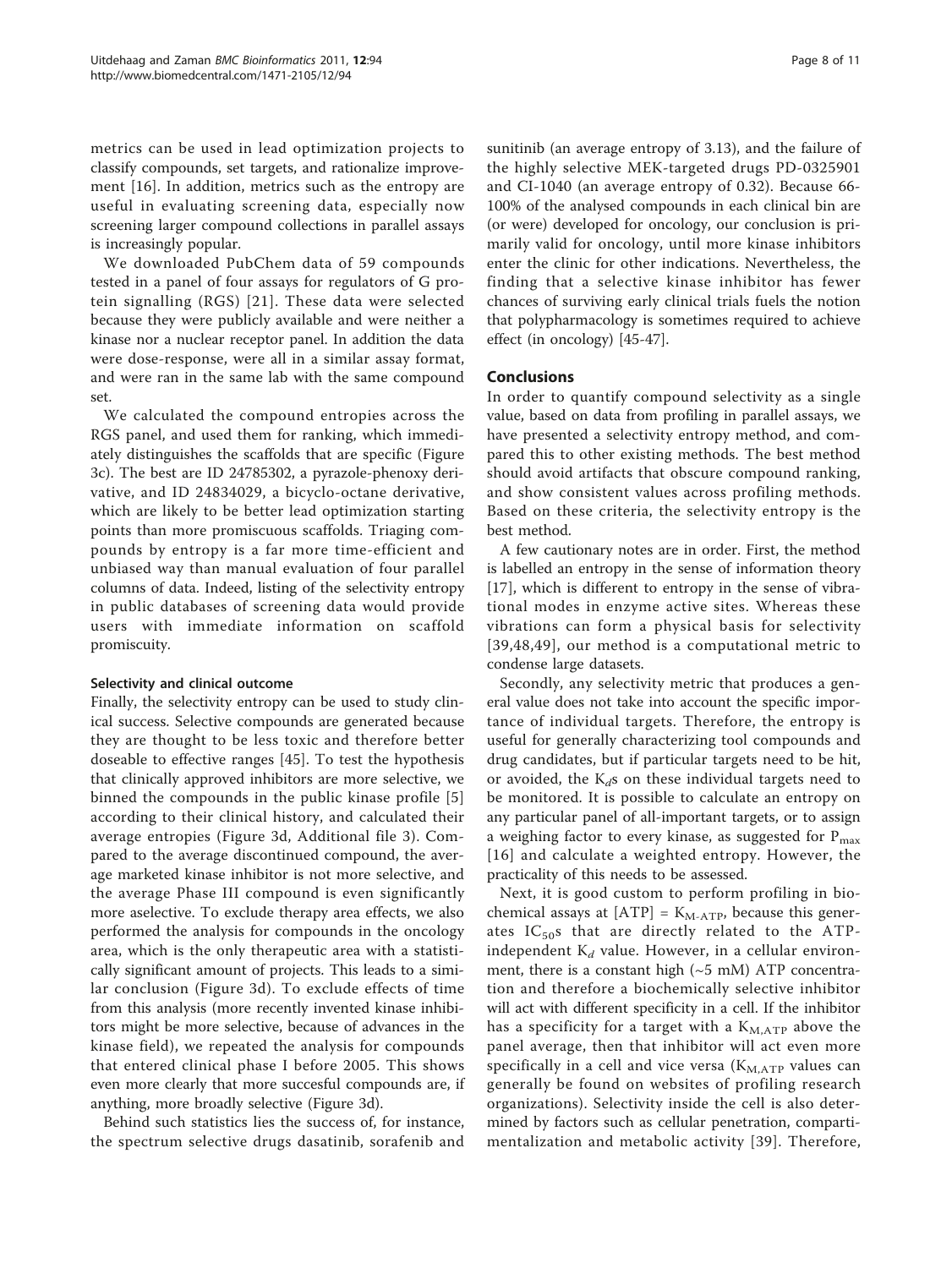metrics can be used in lead optimization projects to classify compounds, set targets, and rationalize improvement [[16](#page-9-0)]. In addition, metrics such as the entropy are useful in evaluating screening data, especially now screening larger compound collections in parallel assays is increasingly popular.

We downloaded PubChem data of 59 compounds tested in a panel of four assays for regulators of G protein signalling (RGS) [[21](#page-9-0)]. These data were selected because they were publicly available and were neither a kinase nor a nuclear receptor panel. In addition the data were dose-response, were all in a similar assay format, and were ran in the same lab with the same compound set.

We calculated the compound entropies across the RGS panel, and used them for ranking, which immediately distinguishes the scaffolds that are specific (Figure [3c\)](#page-6-0). The best are ID 24785302, a pyrazole-phenoxy derivative, and ID 24834029, a bicyclo-octane derivative, which are likely to be better lead optimization starting points than more promiscuous scaffolds. Triaging compounds by entropy is a far more time-efficient and unbiased way than manual evaluation of four parallel columns of data. Indeed, listing of the selectivity entropy in public databases of screening data would provide users with immediate information on scaffold promiscuity.

### Selectivity and clinical outcome

Finally, the selectivity entropy can be used to study clinical success. Selective compounds are generated because they are thought to be less toxic and therefore better doseable to effective ranges [\[45](#page-10-0)]. To test the hypothesis that clinically approved inhibitors are more selective, we binned the compounds in the public kinase profile [\[5](#page-9-0)] according to their clinical history, and calculated their average entropies (Figure [3d](#page-6-0), Additional file [3](#page-9-0)). Compared to the average discontinued compound, the average marketed kinase inhibitor is not more selective, and the average Phase III compound is even significantly more aselective. To exclude therapy area effects, we also performed the analysis for compounds in the oncology area, which is the only therapeutic area with a statistically significant amount of projects. This leads to a similar conclusion (Figure [3d\)](#page-6-0). To exclude effects of time from this analysis (more recently invented kinase inhibitors might be more selective, because of advances in the kinase field), we repeated the analysis for compounds that entered clinical phase I before 2005. This shows even more clearly that more succesful compounds are, if anything, more broadly selective (Figure [3d\)](#page-6-0).

Behind such statistics lies the success of, for instance, the spectrum selective drugs dasatinib, sorafenib and sunitinib (an average entropy of 3.13), and the failure of the highly selective MEK-targeted drugs PD-0325901 and CI-1040 (an average entropy of 0.32). Because 66- 100% of the analysed compounds in each clinical bin are (or were) developed for oncology, our conclusion is primarily valid for oncology, until more kinase inhibitors enter the clinic for other indications. Nevertheless, the finding that a selective kinase inhibitor has fewer chances of surviving early clinical trials fuels the notion that polypharmacology is sometimes required to achieve effect (in oncology) [\[45](#page-10-0)-[47\]](#page-10-0).

### Conclusions

In order to quantify compound selectivity as a single value, based on data from profiling in parallel assays, we have presented a selectivity entropy method, and compared this to other existing methods. The best method should avoid artifacts that obscure compound ranking, and show consistent values across profiling methods. Based on these criteria, the selectivity entropy is the best method.

A few cautionary notes are in order. First, the method is labelled an entropy in the sense of information theory [[17\]](#page-9-0), which is different to entropy in the sense of vibrational modes in enzyme active sites. Whereas these vibrations can form a physical basis for selectivity [[39,48,49](#page-10-0)], our method is a computational metric to condense large datasets.

Secondly, any selectivity metric that produces a general value does not take into account the specific importance of individual targets. Therefore, the entropy is useful for generally characterizing tool compounds and drug candidates, but if particular targets need to be hit, or avoided, the  $K<sub>d</sub>$ s on these individual targets need to be monitored. It is possible to calculate an entropy on any particular panel of all-important targets, or to assign a weighing factor to every kinase, as suggested for  $P_{max}$ [[16\]](#page-9-0) and calculate a weighted entropy. However, the practicality of this needs to be assessed.

Next, it is good custom to perform profiling in biochemical assays at  $[ATP] = K_{M-ATP}$ , because this generates  $IC_{50}$ s that are directly related to the ATPindependent  $K_d$  value. However, in a cellular environment, there is a constant high  $({\sim}5 \text{ mM})$  ATP concentration and therefore a biochemically selective inhibitor will act with different specificity in a cell. If the inhibitor has a specificity for a target with a  $K_{M,ATP}$  above the panel average, then that inhibitor will act even more specifically in a cell and vice versa  $(K_{M,ATP}$  values can generally be found on websites of profiling research organizations). Selectivity inside the cell is also determined by factors such as cellular penetration, compartimentalization and metabolic activity [[39\]](#page-10-0). Therefore,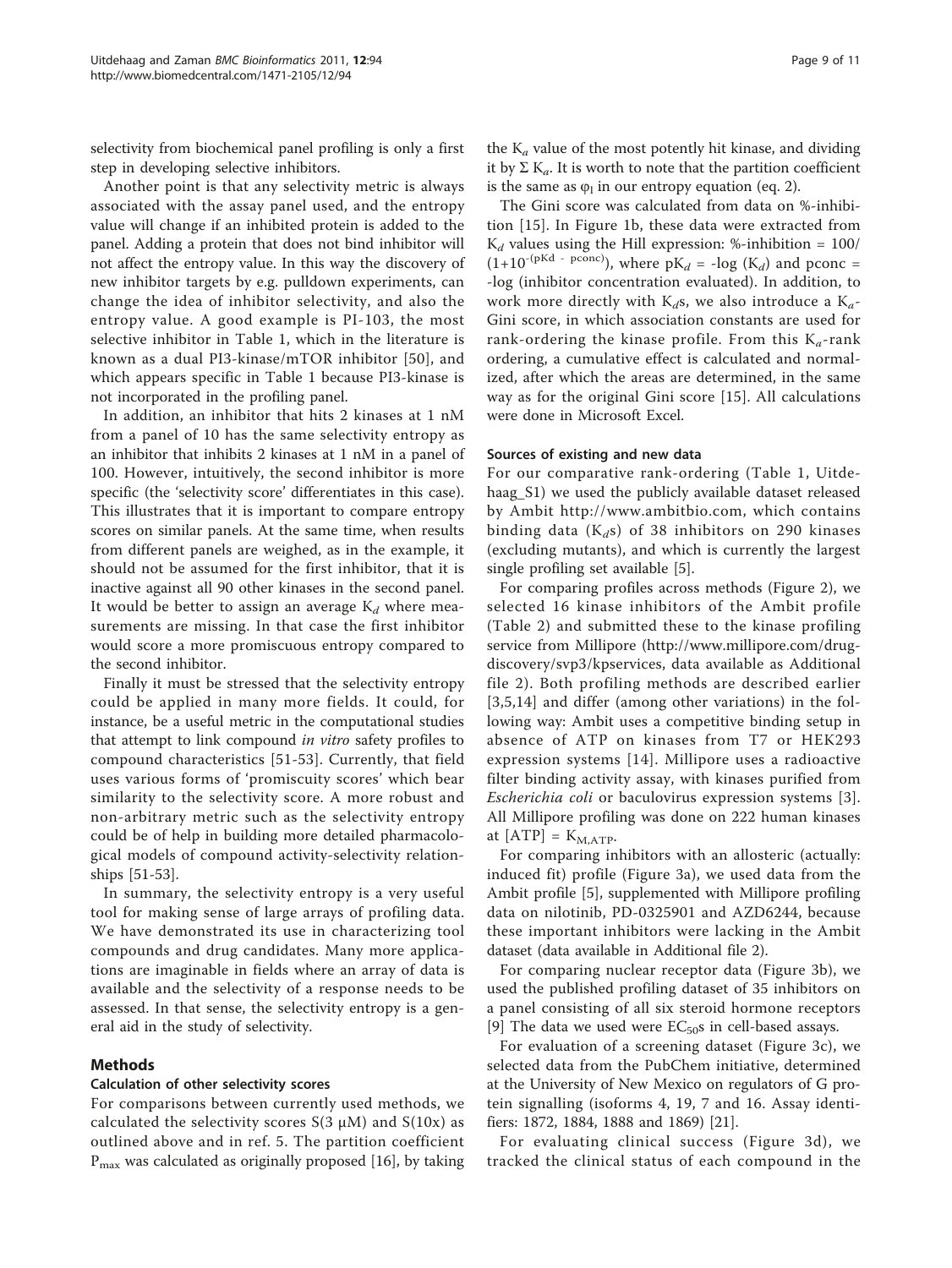selectivity from biochemical panel profiling is only a first step in developing selective inhibitors.

Another point is that any selectivity metric is always associated with the assay panel used, and the entropy value will change if an inhibited protein is added to the panel. Adding a protein that does not bind inhibitor will not affect the entropy value. In this way the discovery of new inhibitor targets by e.g. pulldown experiments, can change the idea of inhibitor selectivity, and also the entropy value. A good example is PI-103, the most selective inhibitor in Table [1](#page-4-0), which in the literature is known as a dual PI3-kinase/mTOR inhibitor [[50](#page-10-0)], and which appears specific in Table [1](#page-4-0) because PI3-kinase is not incorporated in the profiling panel.

In addition, an inhibitor that hits 2 kinases at 1 nM from a panel of 10 has the same selectivity entropy as an inhibitor that inhibits 2 kinases at 1 nM in a panel of 100. However, intuitively, the second inhibitor is more specific (the 'selectivity score' differentiates in this case). This illustrates that it is important to compare entropy scores on similar panels. At the same time, when results from different panels are weighed, as in the example, it should not be assumed for the first inhibitor, that it is inactive against all 90 other kinases in the second panel. It would be better to assign an average  $K_d$  where measurements are missing. In that case the first inhibitor would score a more promiscuous entropy compared to the second inhibitor.

Finally it must be stressed that the selectivity entropy could be applied in many more fields. It could, for instance, be a useful metric in the computational studies that attempt to link compound in vitro safety profiles to compound characteristics [[51-53\]](#page-10-0). Currently, that field uses various forms of 'promiscuity scores' which bear similarity to the selectivity score. A more robust and non-arbitrary metric such as the selectivity entropy could be of help in building more detailed pharmacological models of compound activity-selectivity relationships [[51](#page-10-0)-[53\]](#page-10-0).

In summary, the selectivity entropy is a very useful tool for making sense of large arrays of profiling data. We have demonstrated its use in characterizing tool compounds and drug candidates. Many more applications are imaginable in fields where an array of data is available and the selectivity of a response needs to be assessed. In that sense, the selectivity entropy is a general aid in the study of selectivity.

## Methods

#### Calculation of other selectivity scores

For comparisons between currently used methods, we calculated the selectivity scores  $S(3 \mu M)$  and  $S(10x)$  as outlined above and in ref. 5. The partition coefficient  $P_{\text{max}}$  was calculated as originally proposed [\[16\]](#page-9-0), by taking

the  $K_a$  value of the most potently hit kinase, and dividing it by  $\Sigma$  K<sub>a</sub>. It is worth to note that the partition coefficient is the same as  $\varphi_1$  in our entropy equation (eq. 2).

The Gini score was calculated from data on %-inhibition [\[15](#page-9-0)]. In Figure [1b](#page-1-0), these data were extracted from  $K_d$  values using the Hill expression: %-inhibition = 100/  $(1+10^{-(pKd - pconc)})$ , where  $pK_d = -log (K_d)$  and pconc = -log (inhibitor concentration evaluated). In addition, to work more directly with  $K_d s$ , we also introduce a  $K_a$ -Gini score, in which association constants are used for rank-ordering the kinase profile. From this  $K_a$ -rank ordering, a cumulative effect is calculated and normalized, after which the areas are determined, in the same way as for the original Gini score [[15](#page-9-0)]. All calculations were done in Microsoft Excel.

#### Sources of existing and new data

For our comparative rank-ordering (Table [1](#page-4-0), Uitdehaag\_S1) we used the publicly available dataset released by Ambit [http://www.ambitbio.com,](http://www.ambitbio.com) which contains binding data ( $K_d$ s) of 38 inhibitors on 290 kinases (excluding mutants), and which is currently the largest single profiling set available [[5\]](#page-9-0).

For comparing profiles across methods (Figure [2](#page-5-0)), we selected 16 kinase inhibitors of the Ambit profile (Table [2](#page-4-0)) and submitted these to the kinase profiling service from Millipore ([http://www.millipore.com/drug](http://www.millipore.com/drugdiscovery/svp3/kpservices)[discovery/svp3/kpservices](http://www.millipore.com/drugdiscovery/svp3/kpservices), data available as Additional file [2\)](#page-9-0). Both profiling methods are described earlier [[3,5,14](#page-9-0)] and differ (among other variations) in the following way: Ambit uses a competitive binding setup in absence of ATP on kinases from T7 or HEK293 expression systems [[14](#page-9-0)]. Millipore uses a radioactive filter binding activity assay, with kinases purified from Escherichia coli or baculovirus expression systems [[3](#page-9-0)]. All Millipore profiling was done on 222 human kinases at  $[ATP] = K_{M,ATP}$ .

For comparing inhibitors with an allosteric (actually: induced fit) profile (Figure [3a\)](#page-6-0), we used data from the Ambit profile [[5\]](#page-9-0), supplemented with Millipore profiling data on nilotinib, PD-0325901 and AZD6244, because these important inhibitors were lacking in the Ambit dataset (data available in Additional file [2\)](#page-9-0).

For comparing nuclear receptor data (Figure [3b](#page-6-0)), we used the published profiling dataset of 35 inhibitors on a panel consisting of all six steroid hormone receptors [[9\]](#page-9-0) The data we used were  $EC_{50}$ s in cell-based assays.

For evaluation of a screening dataset (Figure [3c](#page-6-0)), we selected data from the PubChem initiative, determined at the University of New Mexico on regulators of G protein signalling (isoforms 4, 19, 7 and 16. Assay identifiers: 1872, 1884, 1888 and 1869) [\[21\]](#page-9-0).

For evaluating clinical success (Figure [3d\)](#page-6-0), we tracked the clinical status of each compound in the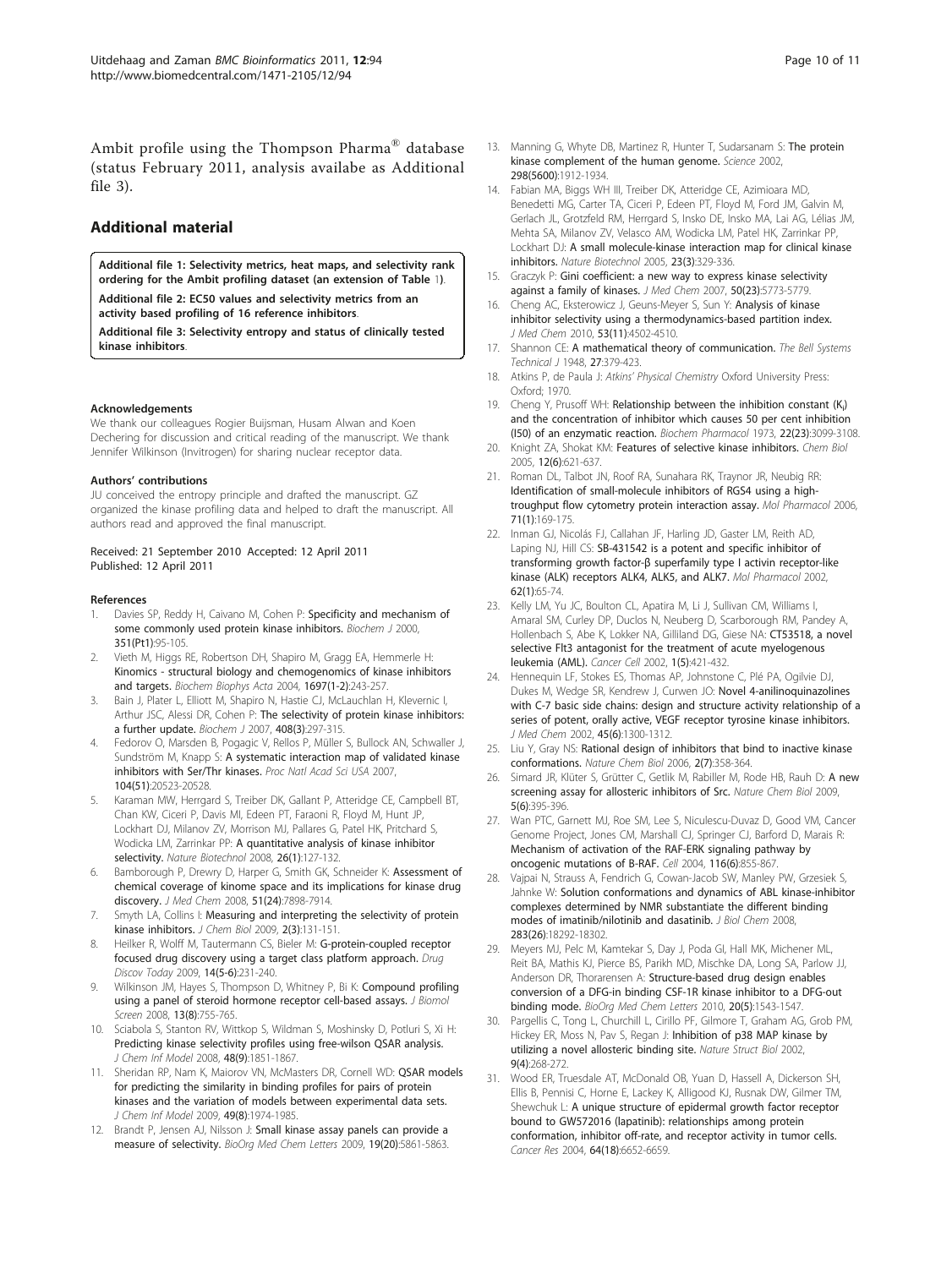<span id="page-9-0"></span>Ambit profile using the Thompson Pharma® database (status February 2011, analysis availabe as Additional file 3).

## Additional material

[Additional file 1: S](http://www.biomedcentral.com/content/supplementary/1471-2105-12-94-S1.TIFF)electivity metrics, heat maps, and selectivity rank ordering for the Ambit profiling dataset (an extension of Table [1](#page-4-0)). [Additional file 2: E](http://www.biomedcentral.com/content/supplementary/1471-2105-12-94-S2.PDF)C50 values and selectivity metrics from an activity based profiling of 16 reference inhibitors.

[Additional file 3: S](http://www.biomedcentral.com/content/supplementary/1471-2105-12-94-S3.PDF)electivity entropy and status of clinically tested kinase inhibitors.

#### Acknowledgements

We thank our colleagues Rogier Buijsman, Husam Alwan and Koen Dechering for discussion and critical reading of the manuscript. We thank Jennifer Wilkinson (Invitrogen) for sharing nuclear receptor data.

#### Authors' contributions

JU conceived the entropy principle and drafted the manuscript. GZ organized the kinase profiling data and helped to draft the manuscript. All authors read and approved the final manuscript.

#### Received: 21 September 2010 Accepted: 12 April 2011 Published: 12 April 2011

#### References

- 1. Davies SP, Reddy H, Caivano M, Cohen P: [Specificity and mechanism of](http://www.ncbi.nlm.nih.gov/pubmed/10998351?dopt=Abstract) [some commonly used protein kinase inhibitors.](http://www.ncbi.nlm.nih.gov/pubmed/10998351?dopt=Abstract) Biochem J 2000, 351(Pt1):95-105.
- Vieth M, Higgs RE, Robertson DH, Shapiro M, Gragg EA, Hemmerle H: [Kinomics - structural biology and chemogenomics of kinase inhibitors](http://www.ncbi.nlm.nih.gov/pubmed/15023365?dopt=Abstract) [and targets.](http://www.ncbi.nlm.nih.gov/pubmed/15023365?dopt=Abstract) Biochem Biophys Acta 2004, 1697(1-2):243-257.
- 3. Bain J, Plater L, Elliott M, Shapiro N, Hastie CJ, McLauchlan H, Klevernic I, Arthur JSC, Alessi DR, Cohen P: [The selectivity of protein kinase inhibitors:](http://www.ncbi.nlm.nih.gov/pubmed/17850214?dopt=Abstract) [a further update.](http://www.ncbi.nlm.nih.gov/pubmed/17850214?dopt=Abstract) Biochem J 2007, 408(3):297-315.
- 4. Fedorov O, Marsden B, Pogagic V, Rellos P, Müller S, Bullock AN, Schwaller J, Sundström M, Knapp S: [A systematic interaction map of validated kinase](http://www.ncbi.nlm.nih.gov/pubmed/18077363?dopt=Abstract) [inhibitors with Ser/Thr kinases.](http://www.ncbi.nlm.nih.gov/pubmed/18077363?dopt=Abstract) Proc Natl Acad Sci USA 2007, 104(51):20523-20528.
- Karaman MW, Herrgard S, Treiber DK, Gallant P, Atteridge CE, Campbell BT, Chan KW, Ciceri P, Davis MI, Edeen PT, Faraoni R, Floyd M, Hunt JP, Lockhart DJ, Milanov ZV, Morrison MJ, Pallares G, Patel HK, Pritchard S, Wodicka LM, Zarrinkar PP: A quantitative analysis of kinase inhibitor selectivity. Nature Biotechnol 2008, 26(1):127-132.
- 6. Bamborough P, Drewry D, Harper G, Smith GK, Schneider K: [Assessment of](http://www.ncbi.nlm.nih.gov/pubmed/19035792?dopt=Abstract) [chemical coverage of kinome space and its implications for kinase drug](http://www.ncbi.nlm.nih.gov/pubmed/19035792?dopt=Abstract) [discovery.](http://www.ncbi.nlm.nih.gov/pubmed/19035792?dopt=Abstract) J Med Chem 2008, 51(24):7898-7914.
- 7. Smyth LA, Collins I: [Measuring and interpreting the selectivity of protein](http://www.ncbi.nlm.nih.gov/pubmed/19568781?dopt=Abstract) [kinase inhibitors.](http://www.ncbi.nlm.nih.gov/pubmed/19568781?dopt=Abstract) J Chem Biol 2009, 2(3):131-151.
- 8. Heilker R, Wolff M, Tautermann CS, Bieler M: [G-protein-coupled receptor](http://www.ncbi.nlm.nih.gov/pubmed/19121411?dopt=Abstract) [focused drug discovery using a target class platform approach.](http://www.ncbi.nlm.nih.gov/pubmed/19121411?dopt=Abstract) Drug Discov Today 2009, 14(5-6):231-240.
- 9. Wilkinson JM, Hayes S, Thompson D, Whitney P, Bi K: [Compound profiling](http://www.ncbi.nlm.nih.gov/pubmed/18753690?dopt=Abstract) [using a panel of steroid hormone receptor cell-based assays.](http://www.ncbi.nlm.nih.gov/pubmed/18753690?dopt=Abstract) J Biomol Screen 2008, 13(8):755-765.
- 10. Sciabola S, Stanton RV, Wittkop S, Wildman S, Moshinsky D, Potluri S, Xi H: [Predicting kinase selectivity profiles using free-wilson QSAR analysis.](http://www.ncbi.nlm.nih.gov/pubmed/18717582?dopt=Abstract) J Chem Inf Model 2008, 48(9):1851-1867.
- 11. Sheridan RP, Nam K, Maiorov VN, McMasters DR, Cornell WD: [QSAR models](http://www.ncbi.nlm.nih.gov/pubmed/19639957?dopt=Abstract) [for predicting the similarity in binding profiles for pairs of protein](http://www.ncbi.nlm.nih.gov/pubmed/19639957?dopt=Abstract) [kinases and the variation of models between experimental data sets.](http://www.ncbi.nlm.nih.gov/pubmed/19639957?dopt=Abstract) J Chem Inf Model 2009, 49(8):1974-1985.
- 12. Brandt P, Jensen AJ, Nilsson J: Small kinase assay panels can provide a measure of selectivity. BioOrg Med Chem Letters 2009, 19(20):5861-5863.
- 13. Manning G, Whyte DB, Martinez R, Hunter T, Sudarsanam S: [The protein](http://www.ncbi.nlm.nih.gov/pubmed/12471243?dopt=Abstract) [kinase complement of the human genome.](http://www.ncbi.nlm.nih.gov/pubmed/12471243?dopt=Abstract) Science 2002, 298(5600):1912-1934.
- 14. Fabian MA, Biggs WH III, Treiber DK, Atteridge CE, Azimioara MD, Benedetti MG, Carter TA, Ciceri P, Edeen PT, Floyd M, Ford JM, Galvin M, Gerlach JL, Grotzfeld RM, Herrgard S, Insko DE, Insko MA, Lai AG, Lélias JM, Mehta SA, Milanov ZV, Velasco AM, Wodicka LM, Patel HK, Zarrinkar PP, Lockhart DJ: A small molecule-kinase interaction map for clinical kinase inhibitors. Nature Biotechnol 2005, 23(3):329-336.
- 15. Graczyk P: [Gini coefficient: a new way to express kinase selectivity](http://www.ncbi.nlm.nih.gov/pubmed/17948979?dopt=Abstract) [against a family of kinases.](http://www.ncbi.nlm.nih.gov/pubmed/17948979?dopt=Abstract) J Med Chem 2007, 50(23):5773-5779.
- 16. Cheng AC, Eksterowicz J, Geuns-Meyer S, Sun Y: [Analysis of kinase](http://www.ncbi.nlm.nih.gov/pubmed/20459125?dopt=Abstract) [inhibitor selectivity using a thermodynamics-based partition index.](http://www.ncbi.nlm.nih.gov/pubmed/20459125?dopt=Abstract) J Med Chem 2010, 53(11):4502-4510.
- 17. Shannon CE: A mathematical theory of communication. The Bell Systems Technical J 1948, 27:379-423.
- 18. Atkins P, de Paula J: Atkins' Physical Chemistry Oxford University Press: Oxford; 1970.
- 19. Cheng Y, Prusoff WH: Relationship between the inhibition constant (K<sub>i</sub>[\)](http://www.ncbi.nlm.nih.gov/pubmed/4202581?dopt=Abstract) [and the concentration of inhibitor which causes 50 per cent inhibition](http://www.ncbi.nlm.nih.gov/pubmed/4202581?dopt=Abstract) [\(I50\) of an enzymatic reaction.](http://www.ncbi.nlm.nih.gov/pubmed/4202581?dopt=Abstract) Biochem Pharmacol 1973, 22(23):3099-3108.
- 20. Knight ZA, Shokat KM: [Features of selective kinase inhibitors.](http://www.ncbi.nlm.nih.gov/pubmed/15975507?dopt=Abstract) Chem Biol 2005, 12(6):621-637.
- 21. Roman DL, Talbot JN, Roof RA, Sunahara RK, Traynor JR, Neubig RR: [Identification of small-molecule inhibitors of RGS4 using a high](http://www.ncbi.nlm.nih.gov/pubmed/17012620?dopt=Abstract)[troughput flow cytometry protein interaction assay.](http://www.ncbi.nlm.nih.gov/pubmed/17012620?dopt=Abstract) Mol Pharmacol 2006, 71(1):169-175.
- 22. Inman GJ, Nicolás FJ, Callahan JF, Harling JD, Gaster LM, Reith AD, Laping NJ, Hill CS: [SB-431542 is a potent and specific inhibitor of](http://www.ncbi.nlm.nih.gov/pubmed/12065756?dopt=Abstract) transforming growth factor-β [superfamily type I activin receptor-like](http://www.ncbi.nlm.nih.gov/pubmed/12065756?dopt=Abstract) [kinase \(ALK\) receptors ALK4, ALK5, and ALK7.](http://www.ncbi.nlm.nih.gov/pubmed/12065756?dopt=Abstract) Mol Pharmacol 2002, 62(1):65-74.
- 23. Kelly LM, Yu JC, Boulton CL, Apatira M, Li J, Sullivan CM, Williams I, Amaral SM, Curley DP, Duclos N, Neuberg D, Scarborough RM, Pandey A, Hollenbach S, Abe K, Lokker NA, Gilliland DG, Giese NA: [CT53518, a novel](http://www.ncbi.nlm.nih.gov/pubmed/12124172?dopt=Abstract) [selective Flt3 antagonist for the treatment of acute myelogenous](http://www.ncbi.nlm.nih.gov/pubmed/12124172?dopt=Abstract) [leukemia \(AML\).](http://www.ncbi.nlm.nih.gov/pubmed/12124172?dopt=Abstract) Cancer Cell 2002, 1(5):421-432.
- 24. Hennequin LF, Stokes ES, Thomas AP, Johnstone C, Plé PA, Ogilvie DJ, Dukes M, Wedge SR, Kendrew J, Curwen JO: [Novel 4-anilinoquinazolines](http://www.ncbi.nlm.nih.gov/pubmed/11881999?dopt=Abstract) [with C-7 basic side chains: design and structure activity relationship of a](http://www.ncbi.nlm.nih.gov/pubmed/11881999?dopt=Abstract) [series of potent, orally active, VEGF receptor tyrosine kinase inhibitors.](http://www.ncbi.nlm.nih.gov/pubmed/11881999?dopt=Abstract) J Med Chem 2002, 45(6):1300-1312.
- 25. Liu Y, Gray NS: Rational design of inhibitors that bind to inactive kinase conformations. Nature Chem Biol 2006, 2(7):358-364.
- 26. Simard JR, Klüter S, Grütter C, Getlik M, Rabiller M, Rode HB, Rauh D: A new screening assay for allosteric inhibitors of Src. Nature Chem Biol 2009, 5(6):395-396.
- 27. Wan PTC, Garnett MJ, Roe SM, Lee S, Niculescu-Duvaz D, Good VM, Cancer Genome Project, Jones CM, Marshall CJ, Springer CJ, Barford D, Marais R: [Mechanism of activation of the RAF-ERK signaling pathway by](http://www.ncbi.nlm.nih.gov/pubmed/15035987?dopt=Abstract) [oncogenic mutations of B-RAF.](http://www.ncbi.nlm.nih.gov/pubmed/15035987?dopt=Abstract) Cell 2004, 116(6):855-867.
- 28. Vajpai N, Strauss A, Fendrich G, Cowan-Jacob SW, Manley PW, Grzesiek S, Jahnke W: [Solution conformations and dynamics of ABL kinase-inhibitor](http://www.ncbi.nlm.nih.gov/pubmed/18434310?dopt=Abstract) [complexes determined by NMR substantiate the different binding](http://www.ncbi.nlm.nih.gov/pubmed/18434310?dopt=Abstract) [modes of imatinib/nilotinib and dasatinib.](http://www.ncbi.nlm.nih.gov/pubmed/18434310?dopt=Abstract) J Biol Chem 2008 283(26):18292-18302.
- 29. Meyers MJ, Pelc M, Kamtekar S, Day J, Poda GI, Hall MK, Michener ML, Reit BA, Mathis KJ, Pierce BS, Parikh MD, Mischke DA, Long SA, Parlow JJ, Anderson DR, Thorarensen A: Structure-based drug design enables conversion of a DFG-in binding CSF-1R kinase inhibitor to a DFG-out binding mode. BioOrg Med Chem Letters 2010, 20(5):1543-1547.
- 30. Pargellis C, Tong L, Churchill L, Cirillo PF, Gilmore T, Graham AG, Grob PM, Hickey ER, Moss N, Pav S, Regan J: [Inhibition of p38 MAP kinase by](http://www.ncbi.nlm.nih.gov/pubmed/11896401?dopt=Abstract) [utilizing a novel allosteric binding site.](http://www.ncbi.nlm.nih.gov/pubmed/11896401?dopt=Abstract) Nature Struct Biol 2002, 9(4):268-272.
- 31. Wood ER, Truesdale AT, McDonald OB, Yuan D, Hassell A, Dickerson SH, Ellis B, Pennisi C, Horne E, Lackey K, Alligood KJ, Rusnak DW, Gilmer TM, Shewchuk L: [A unique structure of epidermal growth factor receptor](http://www.ncbi.nlm.nih.gov/pubmed/15374980?dopt=Abstract) [bound to GW572016 \(lapatinib\): relationships among protein](http://www.ncbi.nlm.nih.gov/pubmed/15374980?dopt=Abstract) [conformation, inhibitor off-rate, and receptor activity in tumor cells.](http://www.ncbi.nlm.nih.gov/pubmed/15374980?dopt=Abstract) Cancer Res 2004, 64(18):6652-6659.